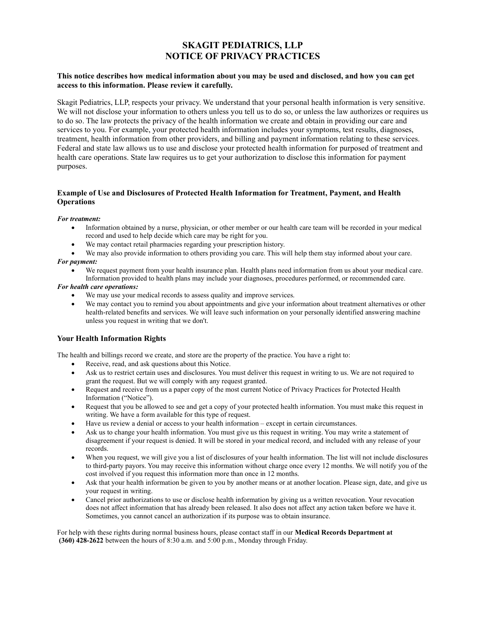# SKAGIT PEDIATRICS, LLP NOTICE OF PRIVACY PRACTICES

## This notice describes how medical information about you may be used and disclosed, and how you can get access to this information. Please review it carefully.

Skagit Pediatrics, LLP, respects your privacy. We understand that your personal health information is very sensitive. We will not disclose your information to others unless you tell us to do so, or unless the law authorizes or requires us to do so. The law protects the privacy of the health information we create and obtain in providing our care and services to you. For example, your protected health information includes your symptoms, test results, diagnoses, treatment, health information from other providers, and billing and payment information relating to these services. Federal and state law allows us to use and disclose your protected health information for purposed of treatment and health care operations. State law requires us to get your authorization to disclose this information for payment purposes.

# Example of Use and Disclosures of Protected Health Information for Treatment, Payment, and Health **Operations**

#### For treatment:

- Information obtained by a nurse, physician, or other member or our health care team will be recorded in your medical record and used to help decide which care may be right for you.
- We may contact retail pharmacies regarding your prescription history.

We may also provide information to others providing you care. This will help them stay informed about your care.

## For payment:

 We request payment from your health insurance plan. Health plans need information from us about your medical care. Information provided to health plans may include your diagnoses, procedures performed, or recommended care.

#### For health care operations:

- We may use your medical records to assess quality and improve services.
- We may contact you to remind you about appointments and give your information about treatment alternatives or other health-related benefits and services. We will leave such information on your personally identified answering machine unless you request in writing that we don't.

# Your Health Information Rights

The health and billings record we create, and store are the property of the practice. You have a right to:

- Receive, read, and ask questions about this Notice.
- Ask us to restrict certain uses and disclosures. You must deliver this request in writing to us. We are not required to grant the request. But we will comply with any request granted.
- Request and receive from us a paper copy of the most current Notice of Privacy Practices for Protected Health Information ("Notice").
- Request that you be allowed to see and get a copy of your protected health information. You must make this request in writing. We have a form available for this type of request.
- Have us review a denial or access to your health information except in certain circumstances.
- Ask us to change your health information. You must give us this request in writing. You may write a statement of disagreement if your request is denied. It will be stored in your medical record, and included with any release of your records.
- When you request, we will give you a list of disclosures of your health information. The list will not include disclosures to third-party payors. You may receive this information without charge once every 12 months. We will notify you of the cost involved if you request this information more than once in 12 months.
- Ask that your health information be given to you by another means or at another location. Please sign, date, and give us your request in writing.
- Cancel prior authorizations to use or disclose health information by giving us a written revocation. Your revocation does not affect information that has already been released. It also does not affect any action taken before we have it. Sometimes, you cannot cancel an authorization if its purpose was to obtain insurance.

For help with these rights during normal business hours, please contact staff in our **Medical Records Department at** (360) 428-2622 between the hours of 8:30 a.m. and 5:00 p.m., Monday through Friday.